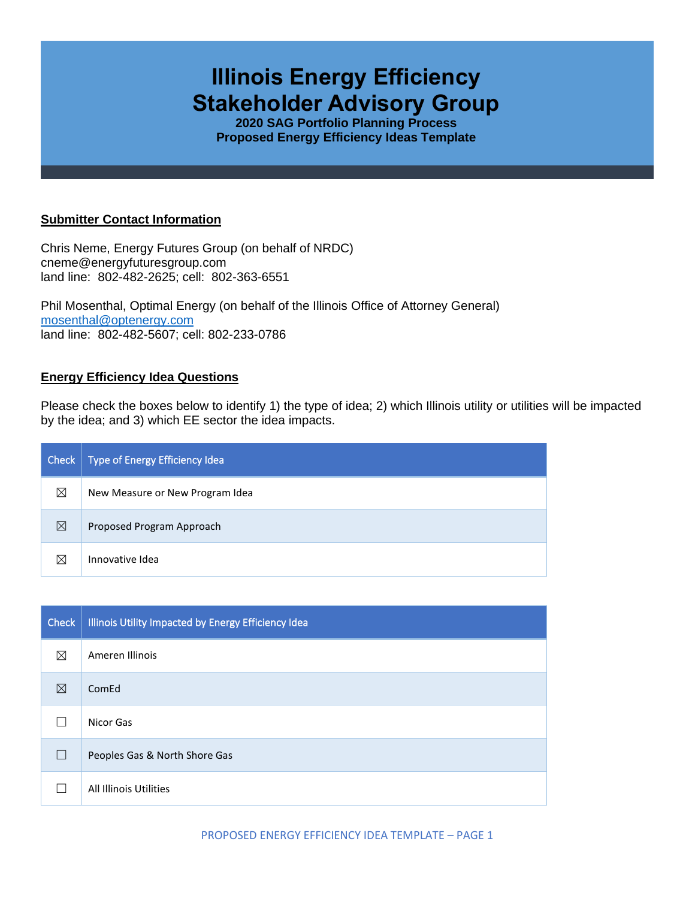# **Illinois Energy Efficiency Stakeholder Advisory Group**

**2020 SAG Portfolio Planning Process Proposed Energy Efficiency Ideas Template**

#### **Submitter Contact Information**

Chris Neme, Energy Futures Group (on behalf of NRDC) cneme@energyfuturesgroup.com land line: 802-482-2625; cell: 802-363-6551

Phil Mosenthal, Optimal Energy (on behalf of the Illinois Office of Attorney General) [mosenthal@optenergy.com](mailto:mosenthal@optenergy.com) land line: 802-482-5607; cell: 802-233-0786

## **Energy Efficiency Idea Questions**

Please check the boxes below to identify 1) the type of idea; 2) which Illinois utility or utilities will be impacted by the idea; and 3) which EE sector the idea impacts.

| Check       | Type of Energy Efficiency Idea  |
|-------------|---------------------------------|
| $\boxtimes$ | New Measure or New Program Idea |
| $\boxtimes$ | Proposed Program Approach       |
| $\boxtimes$ | Innovative Idea                 |

| <b>Check</b> | Illinois Utility Impacted by Energy Efficiency Idea |
|--------------|-----------------------------------------------------|
| ⊠            | Ameren Illinois                                     |
| $\boxtimes$  | ComEd                                               |
|              | Nicor Gas                                           |
| П            | Peoples Gas & North Shore Gas                       |
|              | All Illinois Utilities                              |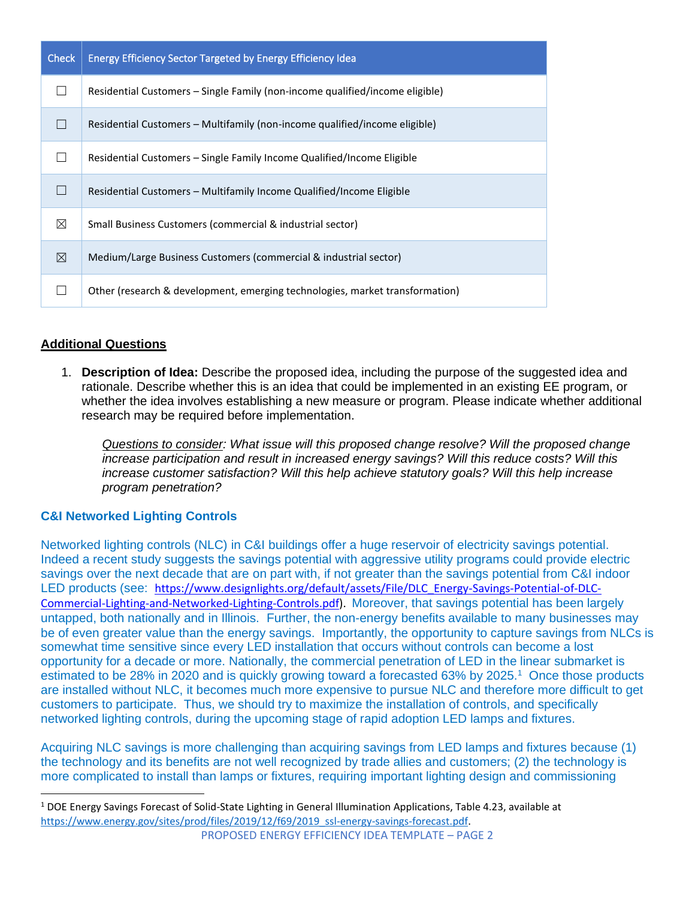| <b>Check</b> | <b>Energy Efficiency Sector Targeted by Energy Efficiency Idea</b>           |
|--------------|------------------------------------------------------------------------------|
|              | Residential Customers – Single Family (non-income qualified/income eligible) |
|              | Residential Customers – Multifamily (non-income qualified/income eligible)   |
|              | Residential Customers – Single Family Income Qualified/Income Eligible       |
|              | Residential Customers - Multifamily Income Qualified/Income Eligible         |
| $\boxtimes$  | Small Business Customers (commercial & industrial sector)                    |
| $\boxtimes$  | Medium/Large Business Customers (commercial & industrial sector)             |
|              | Other (research & development, emerging technologies, market transformation) |

## **Additional Questions**

1. **Description of Idea:** Describe the proposed idea, including the purpose of the suggested idea and rationale. Describe whether this is an idea that could be implemented in an existing EE program, or whether the idea involves establishing a new measure or program. Please indicate whether additional research may be required before implementation.

*Questions to consider: What issue will this proposed change resolve? Will the proposed change increase participation and result in increased energy savings? Will this reduce costs? Will this increase customer satisfaction? Will this help achieve statutory goals? Will this help increase program penetration?* 

## **C&I Networked Lighting Controls**

Networked lighting controls (NLC) in C&I buildings offer a huge reservoir of electricity savings potential. Indeed a recent study suggests the savings potential with aggressive utility programs could provide electric savings over the next decade that are on part with, if not greater than the savings potential from C&I indoor LED products (see: [https://www.designlights.org/default/assets/File/DLC\\_Energy-Savings-Potential-of-DLC-](https://www.designlights.org/default/assets/File/DLC_Energy-Savings-Potential-of-DLC-Commercial-Lighting-and-Networked-Lighting-Controls.pdf)[Commercial-Lighting-and-Networked-Lighting-Controls.pdf\)](https://www.designlights.org/default/assets/File/DLC_Energy-Savings-Potential-of-DLC-Commercial-Lighting-and-Networked-Lighting-Controls.pdf). Moreover, that savings potential has been largely untapped, both nationally and in Illinois. Further, the non-energy benefits available to many businesses may be of even greater value than the energy savings. Importantly, the opportunity to capture savings from NLCs is somewhat time sensitive since every LED installation that occurs without controls can become a lost opportunity for a decade or more. Nationally, the commercial penetration of LED in the linear submarket is estimated to be 28% in 2020 and is quickly growing toward a forecasted 63% by 2025.<sup>1</sup> Once those products are installed without NLC, it becomes much more expensive to pursue NLC and therefore more difficult to get customers to participate. Thus, we should try to maximize the installation of controls, and specifically networked lighting controls, during the upcoming stage of rapid adoption LED lamps and fixtures.

Acquiring NLC savings is more challenging than acquiring savings from LED lamps and fixtures because (1) the technology and its benefits are not well recognized by trade allies and customers; (2) the technology is more complicated to install than lamps or fixtures, requiring important lighting design and commissioning

<sup>1</sup> DOE Energy Savings Forecast of Solid-State Lighting in General Illumination Applications, Table 4.23, available at [https://www.energy.gov/sites/prod/files/2019/12/f69/2019\\_ssl-energy-savings-forecast.pdf.](https://www.energy.gov/sites/prod/files/2019/12/f69/2019_ssl-energy-savings-forecast.pdf)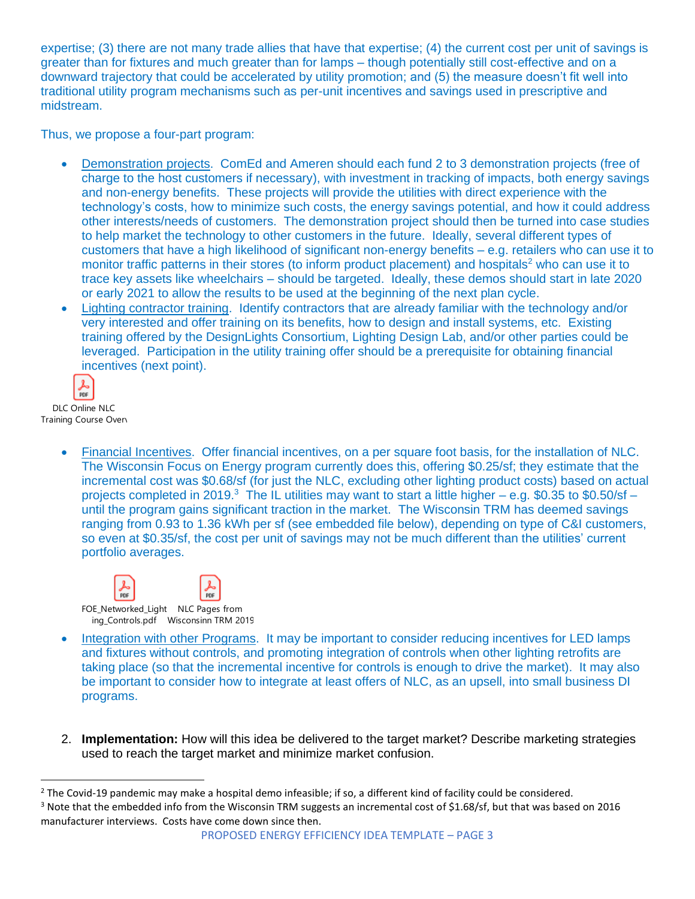expertise; (3) there are not many trade allies that have that expertise; (4) the current cost per unit of savings is greater than for fixtures and much greater than for lamps – though potentially still cost-effective and on a downward trajectory that could be accelerated by utility promotion; and (5) the measure doesn't fit well into traditional utility program mechanisms such as per-unit incentives and savings used in prescriptive and midstream.

Thus, we propose a four-part program:

- Demonstration projects. ComEd and Ameren should each fund 2 to 3 demonstration projects (free of charge to the host customers if necessary), with investment in tracking of impacts, both energy savings and non-energy benefits. These projects will provide the utilities with direct experience with the technology's costs, how to minimize such costs, the energy savings potential, and how it could address other interests/needs of customers. The demonstration project should then be turned into case studies to help market the technology to other customers in the future. Ideally, several different types of customers that have a high likelihood of significant non-energy benefits – e.g. retailers who can use it to monitor traffic patterns in their stores (to inform product placement) and hospitals<sup>2</sup> who can use it to trace key assets like wheelchairs – should be targeted. Ideally, these demos should start in late 2020 or early 2021 to allow the results to be used at the beginning of the next plan cycle.
- Lighting contractor training. Identify contractors that are already familiar with the technology and/or very interested and offer training on its benefits, how to design and install systems, etc. Existing training offered by the DesignLights Consortium, Lighting Design Lab, and/or other parties could be leveraged. Participation in the utility training offer should be a prerequisite for obtaining financial incentives (next point).

ፌ  $\sum_{\text{PDF}}$ 

DLC Online NLC Training Course Overv

> • Financial Incentives. Offer financial incentives, on a per square foot basis, for the installation of NLC. The Wisconsin Focus on Energy program currently does this, offering \$0.25/sf; they estimate that the incremental cost was \$0.68/sf (for just the NLC, excluding other lighting product costs) based on actual projects completed in 2019.<sup>3</sup> The IL utilities may want to start a little higher – e.g. \$0.35 to \$0.50/sf – until the program gains significant traction in the market. The Wisconsin TRM has deemed savings ranging from 0.93 to 1.36 kWh per sf (see embedded file below), depending on type of C&I customers, so even at \$0.35/sf, the cost per unit of savings may not be much different than the utilities' current portfolio averages.



- Integration with other Programs. It may be important to consider reducing incentives for LED lamps and fixtures without controls, and promoting integration of controls when other lighting retrofits are taking place (so that the incremental incentive for controls is enough to drive the market). It may also be important to consider how to integrate at least offers of NLC, as an upsell, into small business DI programs.
- 2. **Implementation:** How will this idea be delivered to the target market? Describe marketing strategies used to reach the target market and minimize market confusion.

 $2$  The Covid-19 pandemic may make a hospital demo infeasible; if so, a different kind of facility could be considered.  $3$  Note that the embedded info from the Wisconsin TRM suggests an incremental cost of \$1.68/sf, but that was based on 2016 manufacturer interviews. Costs have come down since then.